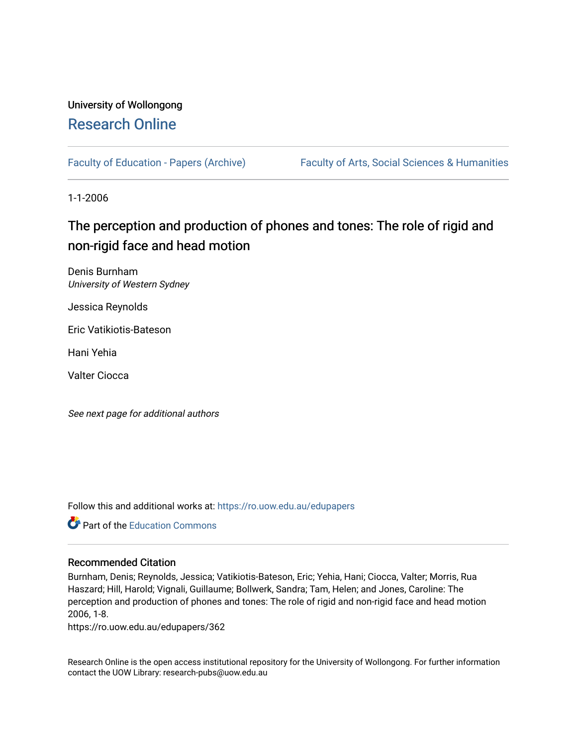## University of Wollongong [Research Online](https://ro.uow.edu.au/)

[Faculty of Education - Papers \(Archive\)](https://ro.uow.edu.au/edupapers) Faculty of Arts, Social Sciences & Humanities

1-1-2006

# The perception and production of phones and tones: The role of rigid and non-rigid face and head motion

Denis Burnham University of Western Sydney

Jessica Reynolds

Eric Vatikiotis-Bateson

Hani Yehia

Valter Ciocca

See next page for additional authors

Follow this and additional works at: [https://ro.uow.edu.au/edupapers](https://ro.uow.edu.au/edupapers?utm_source=ro.uow.edu.au%2Fedupapers%2F362&utm_medium=PDF&utm_campaign=PDFCoverPages) 

**C** Part of the [Education Commons](http://network.bepress.com/hgg/discipline/784?utm_source=ro.uow.edu.au%2Fedupapers%2F362&utm_medium=PDF&utm_campaign=PDFCoverPages)

#### Recommended Citation

Burnham, Denis; Reynolds, Jessica; Vatikiotis-Bateson, Eric; Yehia, Hani; Ciocca, Valter; Morris, Rua Haszard; Hill, Harold; Vignali, Guillaume; Bollwerk, Sandra; Tam, Helen; and Jones, Caroline: The perception and production of phones and tones: The role of rigid and non-rigid face and head motion 2006, 1-8.

https://ro.uow.edu.au/edupapers/362

Research Online is the open access institutional repository for the University of Wollongong. For further information contact the UOW Library: research-pubs@uow.edu.au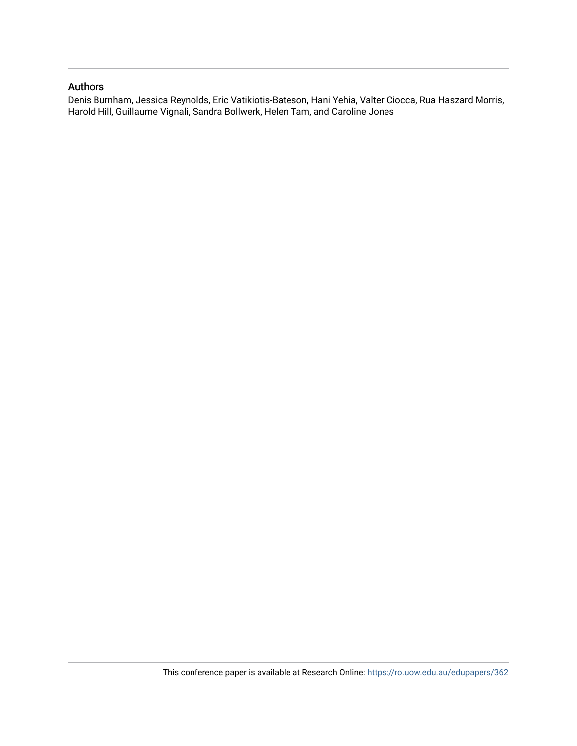#### Authors

Denis Burnham, Jessica Reynolds, Eric Vatikiotis-Bateson, Hani Yehia, Valter Ciocca, Rua Haszard Morris, Harold Hill, Guillaume Vignali, Sandra Bollwerk, Helen Tam, and Caroline Jones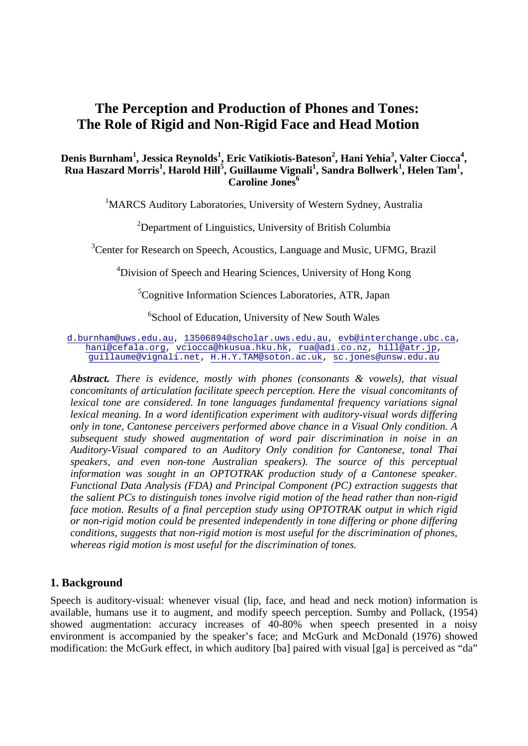## **The Perception and Production of Phones and Tones: The Role of Rigid and Non-Rigid Face and Head Motion**

### **Denis Burnham<sup>1</sup> , Jessica Reynolds<sup>1</sup> , Eric Vatikiotis-Bateson2 , Hani Yehia<sup>3</sup> , Valter Ciocca<sup>4</sup> , Rua Haszard Morris<sup>1</sup> , Harold Hill<sup>5</sup> , Guillaume Vignali<sup>1</sup> , Sandra Bollwerk<sup>1</sup> , Helen Tam<sup>1</sup> , Caroline Jones**<sup>6</sup>

<sup>1</sup>MARCS Auditory Laboratories, University of Western Sydney, Australia

<sup>2</sup>Department of Linguistics, University of British Columbia

<sup>3</sup> Center for Research on Speech, Acoustics, Language and Music, UFMG, Brazil

<sup>4</sup>Division of Speech and Hearing Sciences, University of Hong Kong

<sup>5</sup>Cognitive Information Sciences Laboratories, ATR, Japan

<sup>6</sup>School of Education, University of New South Wales

[d.burnham@uws.edu.au,](mailto:d.burnham@uws.edu.au) [13506894@scholar.uws.edu.au,](mailto:13506894@scholar.uws.edu.au) [evb@interchange.ubc.ca,](mailto:evb@interchange.ubc.ca) [hani@cefala.org,](mailto:hani@cefala.org) [vciocca@hkusua.hku.hk,](mailto:vciocca@hkusua.hku.hk) [rua@adi.co.nz,](mailto:rua@adi.co.nz) [hill@atr.jp,](mailto:hill@atr.jp) [guillaume@vignali.net,](mailto:guillaume@vignali.net) [H.H.Y.TAM@soton.ac.uk,](mailto:H.H.Y.TAM@soton.ac.uk) [sc.jones@unsw.edu.au](mailto:sc.jones@unsw.edu.au)

*Abstract. There is evidence, mostly with phones (consonants & vowels), that visual concomitants of articulation facilitate speech perception. Here the visual concomitants of lexical tone are considered. In tone languages fundamental frequency variations signal lexical meaning. In a word identification experiment with auditory-visual words differing only in tone, Cantonese perceivers performed above chance in a Visual Only condition. A subsequent study showed augmentation of word pair discrimination in noise in an Auditory-Visual compared to an Auditory Only condition for Cantonese, tonal Thai speakers, and even non-tone Australian speakers). The source of this perceptual*  information was sought in an OPTOTRAK production study of a Cantonese speaker. *Functional Data Analysis (FDA) and Principal Component (PC) extraction suggests that the salient PCs to distinguish tones involve rigid motion of the head rather than non-rigid face motion. Results of a final perception study using OPTOTRAK output in which rigid or non-rigid motion could be presented independently in tone differing or phone differing conditions, suggests that non-rigid motion is most useful for the discrimination of phones, whereas rigid motion is most useful for the discrimination of tones.* 

#### **1. Background**

Speech is auditory-visual: whenever visual (lip, face, and head and neck motion) information is available, humans use it to augment, and modify speech perception. Sumby and Pollack, (1954) showed augmentation: accuracy increases of 40-80% when speech presented in a noisy environment is accompanied by the speaker's face; and McGurk and McDonald (1976) showed modification: the McGurk effect, in which auditory [ba] paired with visual [ga] is perceived as "da"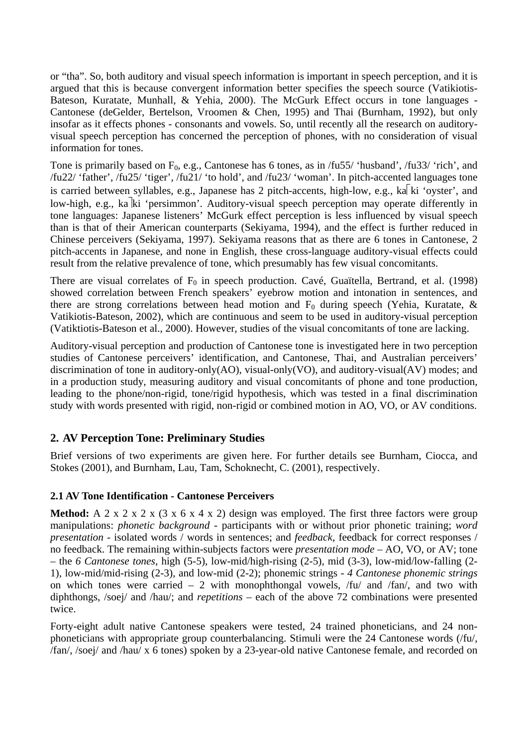or "tha". So, both auditory and visual speech information is important in speech perception, and it is argued that this is because convergent information better specifies the speech source (Vatikiotis-Bateson, Kuratate, Munhall, & Yehia, 2000). The McGurk Effect occurs in tone languages - Cantonese (deGelder, Bertelson, Vroomen & Chen, 1995) and Thai (Burnham, 1992), but only insofar as it effects phones - consonants and vowels. So, until recently all the research on auditoryvisual speech perception has concerned the perception of phones, with no consideration of visual information for tones.

Tone is primarily based on  $F_0$ , e.g., Cantonese has 6 tones, as in /fu55/ 'husband', /fu33/ 'rich', and /fu22/ 'father', /fu25/ 'tiger', /fu21/ 'to hold', and /fu23/ 'woman'. In pitch-accented languages tone is carried between syllables, e.g., Japanese has 2 pitch-accents, high-low, e.g., ka $\overline{k}$ ki 'oyster', and low-high, e.g., ka ki 'persimmon'. Auditory-visual speech perception may operate differently in tone languages: Japanese listeners' McGurk effect perception is less influenced by visual speech than is that of their American counterparts (Sekiyama, 1994), and the effect is further reduced in Chinese perceivers (Sekiyama, 1997). Sekiyama reasons that as there are 6 tones in Cantonese, 2 pitch-accents in Japanese, and none in English, these cross-language auditory-visual effects could result from the relative prevalence of tone, which presumably has few visual concomitants.

There are visual correlates of  $F_0$  in speech production. Cavé, Guaïtella, Bertrand, et al. (1998) showed correlation between French speakers' eyebrow motion and intonation in sentences, and there are strong correlations between head motion and  $F_0$  during speech (Yehia, Kuratate, & Vatikiotis-Bateson, 2002), which are continuous and seem to be used in auditory-visual perception (Vatiktiotis-Bateson et al., 2000). However, studies of the visual concomitants of tone are lacking.

Auditory-visual perception and production of Cantonese tone is investigated here in two perception studies of Cantonese perceivers' identification, and Cantonese, Thai, and Australian perceivers' discrimination of tone in auditory-only(AO), visual-only(VO), and auditory-visual(AV) modes; and in a production study, measuring auditory and visual concomitants of phone and tone production, leading to the phone/non-rigid, tone/rigid hypothesis, which was tested in a final discrimination study with words presented with rigid, non-rigid or combined motion in AO, VO, or AV conditions.

## **2. AV Perception Tone: Preliminary Studies**

Brief versions of two experiments are given here. For further details see Burnham, Ciocca, and Stokes (2001), and Burnham, Lau, Tam, Schoknecht, C. (2001), respectively.

## **2.1 AV Tone Identification - Cantonese Perceivers**

**Method:** A 2 x 2 x 2 x (3 x 6 x 4 x 2) design was employed. The first three factors were group manipulations: *phonetic background* - participants with or without prior phonetic training; *word presentation* - isolated words / words in sentences; and *feedback*, feedback for correct responses / no feedback. The remaining within-subjects factors were *presentation mode* – AO, VO, or AV; tone – the *6 Cantonese tones*, high (5-5), low-mid/high-rising (2-5), mid (3-3), low-mid/low-falling (2- 1), low-mid/mid-rising (2-3), and low-mid (2-2); phonemic strings - *4 Cantonese phonemic strings* on which tones were carried  $-2$  with monophthongal vowels,  $/fu/$  and  $/fan/$ , and two with diphthongs, /soej/ and /hau/; and *repetitions* – each of the above 72 combinations were presented twice.

Forty-eight adult native Cantonese speakers were tested, 24 trained phoneticians, and 24 nonphoneticians with appropriate group counterbalancing. Stimuli were the 24 Cantonese words (/fu/, /fan/, /soej/ and /hau/ x 6 tones) spoken by a 23-year-old native Cantonese female, and recorded on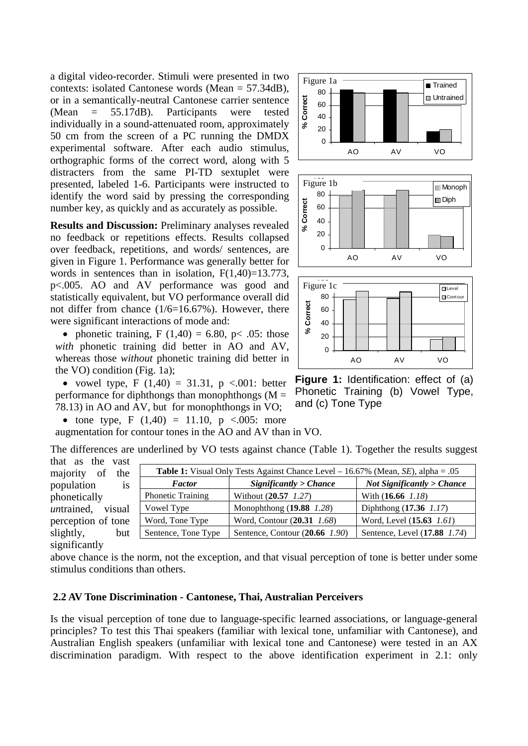a digital video-recorder. Stimuli were presented in two contexts: isolated Cantonese words (Mean = 57.34dB), or in a semantically-neutral Cantonese carrier sentence (Mean = 55.17dB). Participants were tested individually in a sound-attenuated room, approximately 50 cm from the screen of a PC running the DMDX experimental software. After each audio stimulus, orthographic forms of the correct word, along with 5 distracters from the same PI-TD sextuplet were presented, labeled 1-6. Participants were instructed to identify the word said by pressing the corresponding number key, as quickly and as accurately as possible.

**Results and Discussion:** Preliminary analyses revealed no feedback or repetitions effects. Results collapsed over feedback, repetitions, and words/ sentences, are given in Figure 1. Performance was generally better for words in sentences than in isolation,  $F(1,40)=13.773$ , p<.005. AO and AV performance was good and statistically equivalent, but VO performance overall did not differ from chance (1/6=16.67%). However, there were significant interactions of mode and:

• phonetic training,  $F(1,40) = 6.80$ ,  $p < .05$ : those with phonetic training did better in AO and AV, whereas those *without* phonetic training did better in the VO) condition (Fig. 1a);

• vowel type, F  $(1,40) = 31.31$ , p <.001: better performance for diphthongs than monophthongs  $(M =$ 78.13) in AO and AV, but for monophthongs in VO;

• tone type, F  $(1,40) = 11.10$ , p <.005: more

augmentation for contour tones in the AO and AV than in VO.

The differences are underlined by VO tests against chance (Table 1). Together the results suggest that as the vast

**Table 1:** Visual Only Tests Against Chance Level – 16.67% (Mean, *SE*), alpha = .05

Phonetic Training Without (**20.57** *1.27*) With (**16.66** *1.18*) Vowel Type Monophthong (**19.88** *1.28*) Diphthong (**17.36** *1.17*) Word, Tone Type Word, Contour (**20.31** *1.68*) Word, Level (**15.63** *1.61*) Sentence, Tone Type | Sentence, Contour (20.66 *1.90*) | Sentence, Level (17.88 *1.74*)

*Factor Significantly > Chance Not Significantly > Chance* 

majority of the population is phonetically *un*trained, visual perception of tone slightly, but significantly

above chance is the norm, not the exception, and that visual perception of tone is better under some stimulus conditions than others.

#### **2.2 AV Tone Discrimination - Cantonese, Thai, Australian Perceivers**

Is the visual perception of tone due to language-specific learned associations, or language-general principles? To test this Thai speakers (familiar with lexical tone, unfamiliar with Cantonese), and Australian English speakers (unfamiliar with lexical tone and Cantonese) were tested in an AX discrimination paradigm. With respect to the above identification experiment in 2.1: only



**Figure 1:** Identification: effect of (a) Phonetic Training (b) Vowel Type, and (c) Tone Type

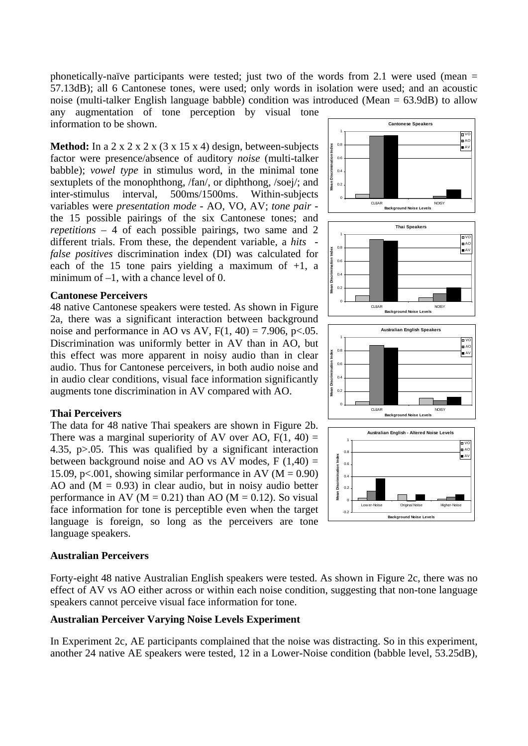phonetically-naïve participants were tested; just two of the words from 2.1 were used (mean  $=$ 57.13dB); all 6 Cantonese tones, were used; only words in isolation were used; and an acoustic noise (multi-talker English language babble) condition was introduced (Mean = 63.9dB) to allow

any augmentation of tone perception by visual tone information to be shown.

**Method:** In a 2 x 2 x 2 x (3 x 15 x 4) design, between-subjects factor were presence/absence of auditory *noise* (multi-talker babble); *vowel type* in stimulus word, in the minimal tone sextuplets of the monophthong, /fan/, or diphthong, /soej/; and inter-stimulus interval, 500ms/1500ms. Within-subjects variables were *presentation mode* - AO, VO, AV; *tone pair* the 15 possible pairings of the six Cantonese tones; and *repetitions* – 4 of each possible pairings, two same and 2 different trials. From these, the dependent variable, a *hits false positives* discrimination index (DI) was calculated for each of the 15 tone pairs yielding a maximum of  $+1$ , a minimum of  $-1$ , with a chance level of 0.

#### **Cantonese Perceivers**

48 native Cantonese speakers were tested. As shown in Figure 2a, there was a significant interaction between background noise and performance in AO vs AV,  $F(1, 40) = 7.906$ , p $< .05$ . Discrimination was uniformly better in AV than in AO, but this effect was more apparent in noisy audio than in clear audio. Thus for Cantonese perceivers, in both audio noise and in audio clear conditions, visual face information significantly augments tone discrimination in AV compared with AO.

#### **Thai Perceivers**

The data for 48 native Thai speakers are shown in Figure 2b. There was a marginal superiority of AV over AO,  $F(1, 40) =$ 4.35, p>.05. This was qualified by a significant interaction between background noise and AO vs AV modes,  $F(1,40) =$ 15.09, p<.001, showing similar performance in AV ( $M = 0.90$ ) AO and  $(M = 0.93)$  in clear audio, but in noisy audio better performance in AV ( $M = 0.21$ ) than AO ( $M = 0.12$ ). So visual face information for tone is perceptible even when the target language is foreign, so long as the perceivers are tone language speakers.

#### **Australian Perceivers**

Forty-eight 48 native Australian English speakers were tested. As shown in Figure 2c, there was no effect of AV vs AO either across or within each noise condition, suggesting that non-tone language speakers cannot perceive visual face information for tone.

#### **Australian Perceiver Varying Noise Levels Experiment**

In Experiment 2c, AE participants complained that the noise was distracting. So in this experiment, another 24 native AE speakers were tested, 12 in a Lower-Noise condition (babble level, 53.25dB),



**Cantonese Speakers**

VO

1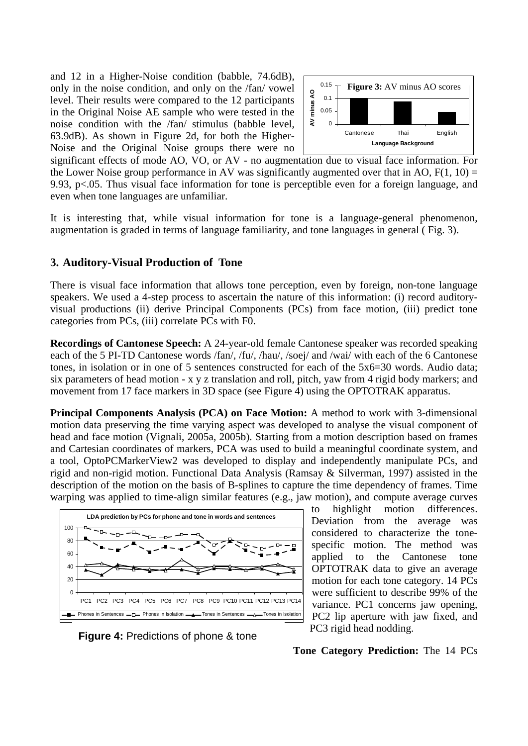and 12 in a Higher-Noise condition (babble, 74.6dB), only in the noise condition, and only on the /fan/ vowel level. Their results were compared to the 12 participants in the Original Noise AE sample who were tested in the noise condition with the /fan/ stimulus (babble level, 63.9dB). As shown in Figure 2d, for both the Higher-Noise and the Original Noise groups there were no



significant effects of mode AO, VO, or AV - no augmentation due to visual face information. For the Lower Noise group performance in AV was significantly augmented over that in AO,  $F(1, 10) =$ 9.93, p<.05. Thus visual face information for tone is perceptible even for a foreign language, and even when tone languages are unfamiliar.

It is interesting that, while visual information for tone is a language-general phenomenon, augmentation is graded in terms of language familiarity, and tone languages in general ( Fig. 3).

#### **3. Auditory-Visual Production of Tone**

There is visual face information that allows tone perception, even by foreign, non-tone language speakers. We used a 4-step process to ascertain the nature of this information: (i) record auditoryvisual productions (ii) derive Principal Components (PCs) from face motion, (iii) predict tone categories from PCs, (iii) correlate PCs with F0.

**Recordings of Cantonese Speech:** A 24-year-old female Cantonese speaker was recorded speaking each of the 5 PI-TD Cantonese words /fan/, /fu/, /hau/, /soej/ and /wai/ with each of the 6 Cantonese tones, in isolation or in one of 5 sentences constructed for each of the 5x6=30 words. Audio data; six parameters of head motion - x y z translation and roll, pitch, yaw from 4 rigid body markers; and movement from 17 face markers in 3D space (see Figure 4) using the OPTOTRAK apparatus.

**Principal Components Analysis (PCA) on Face Motion:** A method to work with 3-dimensional motion data preserving the time varying aspect was developed to analyse the visual component of head and face motion (Vignali, 2005a, 2005b). Starting from a motion description based on frames and Cartesian coordinates of markers, PCA was used to build a meaningful coordinate system, and a tool, OptoPCMarkerView2 was developed to display and independently manipulate PCs, and rigid and non-rigid motion. Functional Data Analysis (Ramsay & Silverman, 1997) assisted in the description of the motion on the basis of B-splines to capture the time dependency of frames. Time warping was applied to time-align similar features (e.g., jaw motion), and compute average curves



**Figure 4:** Predictions of phone & tone

to highlight motion differences. Deviation from the average was considered to characterize the tonespecific motion. The method was applied to the Cantonese tone OPTOTRAK data to give an average motion for each tone category. 14 PCs were sufficient to describe 99% of the variance. PC1 concerns jaw opening, PC2 lip aperture with jaw fixed, and PC3 rigid head nodding.

**Tone Category Prediction:** The 14 PCs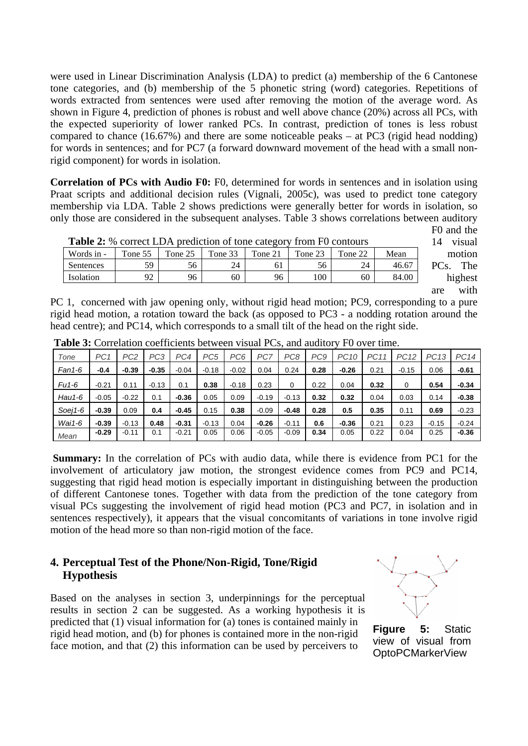were used in Linear Discrimination Analysis (LDA) to predict (a) membership of the 6 Cantonese tone categories, and (b) membership of the 5 phonetic string (word) categories. Repetitions of words extracted from sentences were used after removing the motion of the average word. As shown in Figure 4, prediction of phones is robust and well above chance (20%) across all PCs, with the expected superiority of lower ranked PCs. In contrast, prediction of tones is less robust compared to chance  $(16.67%)$  and there are some noticeable peaks – at PC3 (rigid head nodding) for words in sentences; and for PC7 (a forward downward movement of the head with a small nonrigid component) for words in isolation.

**Correlation of PCs with Audio F0:** F0, determined for words in sentences and in isolation using Praat scripts and additional decision rules (Vignali, 2005c), was used to predict tone category membership via LDA. Table 2 shows predictions were generally better for words in isolation, so only those are considered in the subsequent analyses. Table 3 shows correlations between auditory

| <b>Table 2:</b> % correct LDA prediction of tone category from F0 contours |         |         |         |         |         |         |       |  |  |  |  |
|----------------------------------------------------------------------------|---------|---------|---------|---------|---------|---------|-------|--|--|--|--|
| Words in -                                                                 | Tone 55 | Tone 25 | Tone 33 | Tone 21 | Tone 23 | Tone 22 | Mean  |  |  |  |  |
| Sentences                                                                  | 59      | 56      | 24      | 61      | 56      | 24      | 46.67 |  |  |  |  |
| Isolation                                                                  | 92      | 96      | 60      | 96      | 100     | 60      | 84.00 |  |  |  |  |

F0 and the 14 visual motion PCs. The highest are with

PC 1, concerned with jaw opening only, without rigid head motion; PC9, corresponding to a pure rigid head motion, a rotation toward the back (as opposed to PC3 - a nodding rotation around the head centre); and PC14, which corresponds to a small tilt of the head on the right side.

| Tone     | PC <sub>1</sub> | PC2     | PC <sub>3</sub> | PC4     | PC <sub>5</sub> | PC <sub>6</sub> | PC7     | PC <sub>8</sub> | PC <sub>9</sub> | PC <sub>10</sub> | <b>PC11</b> | <b>PC12</b> | PC13    | <b>PC14</b> |
|----------|-----------------|---------|-----------------|---------|-----------------|-----------------|---------|-----------------|-----------------|------------------|-------------|-------------|---------|-------------|
| Fan1-6   | $-0.4$          | $-0.39$ | $-0.35$         | $-0.04$ | $-0.18$         | $-0.02$         | 0.04    | 0.24            | 0.28            | $-0.26$          | 0.21        | $-0.15$     | 0.06    | $-0.61$     |
| Fu1-6    | $-0.21$         | 0.11    | $-0.13$         | 0.1     | 0.38            | $-0.18$         | 0.23    | 0               | 0.22            | 0.04             | 0.32        | 0           | 0.54    | $-0.34$     |
| $Hau1-6$ | $-0.05$         | $-0.22$ | 0.1             | $-0.36$ | 0.05            | 0.09            | $-0.19$ | $-0.13$         | 0.32            | 0.32             | 0.04        | 0.03        | 0.14    | $-0.38$     |
| Soei1-6  | $-0.39$         | 0.09    | 0.4             | $-0.45$ | 0.15            | 0.38            | $-0.09$ | $-0.48$         | 0.28            | 0.5              | 0.35        | 0.11        | 0.69    | $-0.23$     |
| $Wai1-6$ | $-0.39$         | $-0.13$ | 0.48            | $-0.31$ | $-0.13$         | 0.04            | $-0.26$ | $-0.11$         | 0.6             | $-0.36$          | 0.21        | 0.23        | $-0.15$ | $-0.24$     |
| Mean     | $-0.29$         | $-0.11$ | 0.1             | $-0.21$ | 0.05            | 0.06            | $-0.05$ | $-0.09$         | 0.34            | 0.05             | 0.22        | 0.04        | 0.25    | $-0.36$     |

**Table 3:** Correlation coefficients between visual PCs, and auditory F0 over time.

**Summary:** In the correlation of PCs with audio data, while there is evidence from PC1 for the involvement of articulatory jaw motion, the strongest evidence comes from PC9 and PC14, suggesting that rigid head motion is especially important in distinguishing between the production of different Cantonese tones. Together with data from the prediction of the tone category from visual PCs suggesting the involvement of rigid head motion (PC3 and PC7, in isolation and in sentences respectively), it appears that the visual concomitants of variations in tone involve rigid motion of the head more so than non-rigid motion of the face.

## **4. Perceptual Test of the Phone/Non-Rigid, Tone/Rigid Hypothesis**

Based on the analyses in section 3, underpinnings for the perceptual results in section 2 can be suggested. As a working hypothesis it is predicted that (1) visual information for (a) tones is contained mainly in rigid head motion, and (b) for phones is contained more in the non-rigid face motion, and that (2) this information can be used by perceivers to



**Figure 5:** Static view of visual from OptoPCMarkerView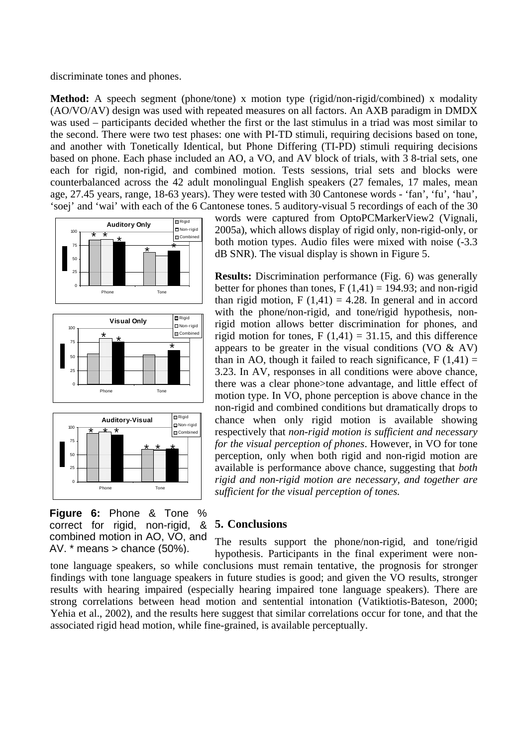discriminate tones and phones.

**Method:** A speech segment (phone/tone) x motion type (rigid/non-rigid/combined) x modality (AO/VO/AV) design was used with repeated measures on all factors. An AXB paradigm in DMDX was used – participants decided whether the first or the last stimulus in a triad was most similar to the second. There were two test phases: one with PI-TD stimuli, requiring decisions based on tone, and another with Tonetically Identical, but Phone Differing (TI-PD) stimuli requiring decisions based on phone. Each phase included an AO, a VO, and AV block of trials, with 3 8-trial sets, one each for rigid, non-rigid, and combined motion. Tests sessions, trial sets and blocks were counterbalanced across the 42 adult monolingual English speakers (27 females, 17 males, mean age, 27.45 years, range, 18-63 years). They were tested with 30 Cantonese words - 'fan', 'fu', 'hau', 'soej' and 'wai' with each of the 6 Cantonese tones. 5 auditory-visual 5 recordings of each of the 30







**Figure 6:** Phone & Tone % correct for rigid, non-rigid, & combined motion in AO, VO, and AV.  $*$  means  $>$  chance (50%).

words were captured from OptoPCMarkerView2 (Vignali, 2005a), which allows display of rigid only, non-rigid-only, or both motion types. Audio files were mixed with noise (-3.3 dB SNR). The visual display is shown in Figure 5.

**Results:** Discrimination performance (Fig. 6) was generally better for phones than tones,  $F(1,41) = 194.93$ ; and non-rigid than rigid motion,  $F(1,41) = 4.28$ . In general and in accord with the phone/non-rigid, and tone/rigid hypothesis, nonrigid motion allows better discrimination for phones, and rigid motion for tones,  $F(1,41) = 31.15$ , and this difference appears to be greater in the visual conditions (VO  $\&$  AV) than in AO, though it failed to reach significance,  $F(1,41) =$ 3.23. In AV, responses in all conditions were above chance, there was a clear phone>tone advantage, and little effect of motion type. In VO, phone perception is above chance in the non-rigid and combined conditions but dramatically drops to chance when only rigid motion is available showing respectively that *non-rigid motion is sufficient and necessary for the visual perception of phones*. However, in VO for tone perception, only when both rigid and non-rigid motion are available is performance above chance, suggesting that *both rigid and non-rigid motion are necessary, and together are sufficient for the visual perception of tones.* 

## **5. Conclusions**

The results support the phone/non-rigid, and tone/rigid hypothesis. Participants in the final experiment were nontone language speakers, so while conclusions must remain tentative, the prognosis for stronger findings with tone language speakers in future studies is good; and given the VO results, stronger

results with hearing impaired (especially hearing impaired tone language speakers). There are strong correlations between head motion and sentential intonation (Vatiktiotis-Bateson, 2000; Yehia et al., 2002), and the results here suggest that similar correlations occur for tone, and that the associated rigid head motion, while fine-grained, is available perceptually.